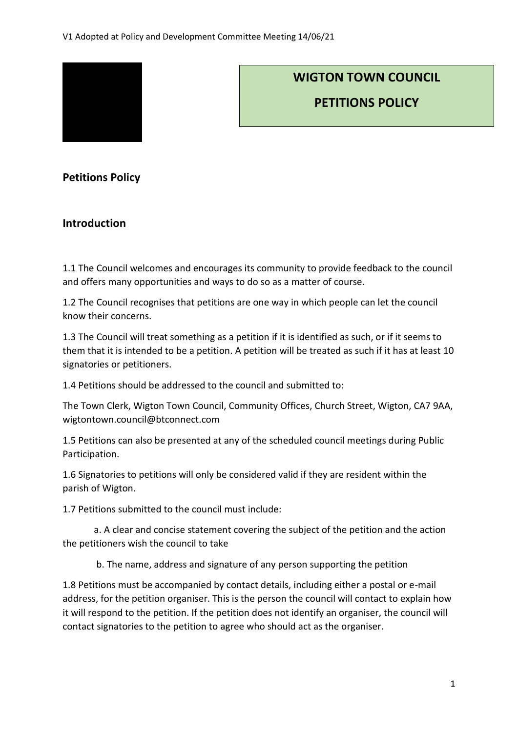

# **WIGTON TOWN COUNCIL**

**PETITIONS POLICY**

## **Petitions Policy**

### **Introduction**

1.1 The Council welcomes and encourages its community to provide feedback to the council and offers many opportunities and ways to do so as a matter of course.

1.2 The Council recognises that petitions are one way in which people can let the council know their concerns.

1.3 The Council will treat something as a petition if it is identified as such, or if it seems to them that it is intended to be a petition. A petition will be treated as such if it has at least 10 signatories or petitioners.

1.4 Petitions should be addressed to the council and submitted to:

The Town Clerk, Wigton Town Council, Community Offices, Church Street, Wigton, CA7 9AA, wigtontown.council@btconnect.com

1.5 Petitions can also be presented at any of the scheduled council meetings during Public Participation.

1.6 Signatories to petitions will only be considered valid if they are resident within the parish of Wigton.

1.7 Petitions submitted to the council must include:

a. A clear and concise statement covering the subject of the petition and the action the petitioners wish the council to take

b. The name, address and signature of any person supporting the petition

1.8 Petitions must be accompanied by contact details, including either a postal or e-mail address, for the petition organiser. This is the person the council will contact to explain how it will respond to the petition. If the petition does not identify an organiser, the council will contact signatories to the petition to agree who should act as the organiser.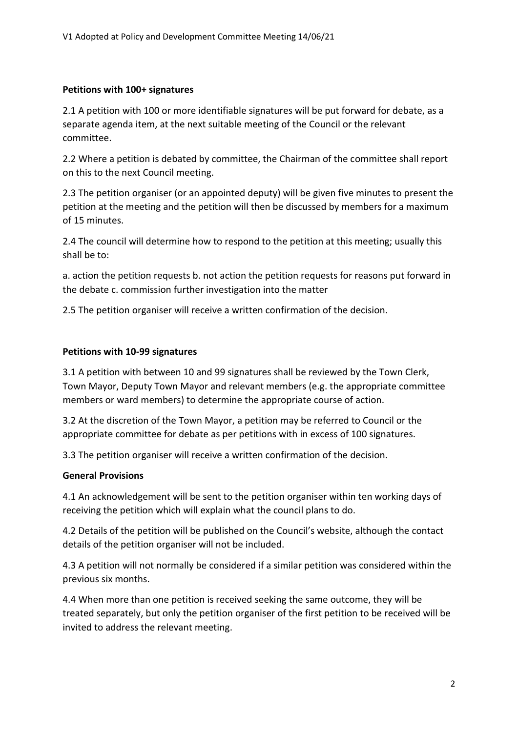#### **Petitions with 100+ signatures**

2.1 A petition with 100 or more identifiable signatures will be put forward for debate, as a separate agenda item, at the next suitable meeting of the Council or the relevant committee.

2.2 Where a petition is debated by committee, the Chairman of the committee shall report on this to the next Council meeting.

2.3 The petition organiser (or an appointed deputy) will be given five minutes to present the petition at the meeting and the petition will then be discussed by members for a maximum of 15 minutes.

2.4 The council will determine how to respond to the petition at this meeting; usually this shall be to:

a. action the petition requests b. not action the petition requests for reasons put forward in the debate c. commission further investigation into the matter

2.5 The petition organiser will receive a written confirmation of the decision.

#### **Petitions with 10-99 signatures**

3.1 A petition with between 10 and 99 signatures shall be reviewed by the Town Clerk, Town Mayor, Deputy Town Mayor and relevant members (e.g. the appropriate committee members or ward members) to determine the appropriate course of action.

3.2 At the discretion of the Town Mayor, a petition may be referred to Council or the appropriate committee for debate as per petitions with in excess of 100 signatures.

3.3 The petition organiser will receive a written confirmation of the decision.

#### **General Provisions**

4.1 An acknowledgement will be sent to the petition organiser within ten working days of receiving the petition which will explain what the council plans to do.

4.2 Details of the petition will be published on the Council's website, although the contact details of the petition organiser will not be included.

4.3 A petition will not normally be considered if a similar petition was considered within the previous six months.

4.4 When more than one petition is received seeking the same outcome, they will be treated separately, but only the petition organiser of the first petition to be received will be invited to address the relevant meeting.